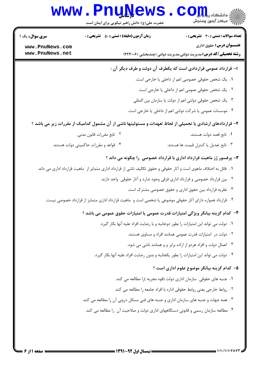## Www.PnuNews.com

حضرت علی(ع): دانش راهبر نیکویی برای ایمان است

| <b>سری سوال :</b> یک ۱             | زمان آزمون (دقیقه) : تستی : ۵۰٪ تشریحی : ۰ | <b>تعداد سوالات : تستی : 30 ٪ تشریحی : 0</b>                                                                         |
|------------------------------------|--------------------------------------------|----------------------------------------------------------------------------------------------------------------------|
| www.PnuNews.com<br>www.PnuNews.net |                                            | <b>عنـــوان درس:</b> حقوق اداری<br><b>رشته تحصیلی/کد درس:</b> مدیریت دولتی،مدیریت دولتی (چندبخشی )۱۲۲۳۰۰۶            |
|                                    |                                            | ۱– قرارداد عمومی قراردادی است که یکطرف آن دولت و طرف دیگر آن :                                                       |
|                                    |                                            | ١. یک شخص حقوقی خصوصی اعم از داخلی یا خارجی است.                                                                     |
|                                    |                                            | ۰۲ یک شخص حقوقی عمومی اعم از داخلی یا خارجی است.                                                                     |
|                                    |                                            | ۰۳ یک شخص حقوقی دولتی اعم از دولت یا سازمان بین المللی                                                               |
|                                    |                                            | ۰۴ موسسات عمومی یا شرکت دولتی اعم از داخلی یا خارجی است.                                                             |
|                                    |                                            | ۲– قراردادهای ارشادی یا تحمیلی از لحاظ تعهدات و مسئولیتها ناشی از آن مشمول کدامیک از مقررات زیر می باشد ؟            |
|                                    | ۰۲ تابع مقررات قانون مدني.                 | ۰۱ تابع قصد دولت هستند.                                                                                              |
|                                    | ۰۴ قواعد و مقررات حاکمیتی دولت هستند.      | ۰۳ تابع تعدیل یا کنترل قیمت ها هستند.                                                                                |
|                                    |                                            | ۳- پرفسور ژز ماهیت قرارداد اداری با قرارداد خصوصی را چگونه می داند ؟                                                 |
|                                    |                                            | ۰۱ قائل به اختلاف ماهوی است و آثار حقوقی و حقوق تکالیف ناشی از قرارداد اداری متمایز از  ماهیت قرارداد اداری می داند. |
|                                    |                                            | ۰۲ بین قرارداد خصوصی و قرارداد اداری فرقی وجود ندارد و آثار حقوقی واحد دارند.                                        |
|                                    |                                            | ۰۳ نظریه قرارداد بین حقوق اداری و حقوق خصوصی مشترک است.                                                              |
|                                    |                                            | ۰۴ قرارداد همواره دارای آثار حقوقی موضوعی یا شخصی است و  ماهیت قرارداد اداری متمایز از قرارداد خصوصی نیست.           |
|                                    |                                            | ۴–  کدام گزینه بیانگر ویژگی امتیازات قدرت عمومی یا امتیازات حقوق عمومی می باشد ؟                                     |
|                                    |                                            | ۰۱ دولت می تواند این امتیازات را بطور دوجانبه و با رضایت افراد علیه آنها بکار گیرد.                                  |
|                                    |                                            | ۰۲ دولت در امتیازات قدرت عمومی همانند افراد و مساوی هستند.                                                           |
|                                    |                                            | ۰۳ اعمال دولت و افراد هردو از اراده برابر و و همانند ناشی می شود.                                                    |
|                                    |                                            | ۰۴ دولت می تواند این امتیازات را بطور یکجانبه و بدون رضایت افراد علیه آنها بکار گیرد.                                |
|                                    |                                            | ۵– کدام گزینه بیانگر موضوع علوم اداری است ؟                                                                          |
|                                    |                                            | ۰۱ جنبه های حقوقی ِ سازمان اداری دولت (قوه مجریه )را مطالعه می کند.                                                  |
|                                    |                                            | ٠٢ روابط خارجي يعني روابط حقوقي اداره با افراد جامعه را مطالعه مي كند.                                               |
|                                    |                                            | ۰۳ همه جهات و جنبه های سازمان اداری و جنبه های فنی مسائل درونی آن را مطالعه می کند.                                  |
|                                    |                                            | ۰۴ مطالعه سازمان رسمی و قانونی دستگاههای اداری دولت و صلاحیت آن  را مطالعه می کند.                                   |
|                                    |                                            |                                                                                                                      |
|                                    |                                            |                                                                                                                      |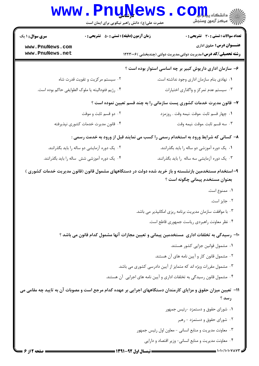|                                    | <b>www.PnuNews</b><br>حضرت علی(ع): دانش راهبر نیکویی برای ایمان است | اللا دانشگاه پیا بارال<br>الله مرکز آزمون وسنجش                                                                                           |
|------------------------------------|---------------------------------------------------------------------|-------------------------------------------------------------------------------------------------------------------------------------------|
| <b>سری سوال : ۱ یک</b>             | <b>زمان آزمون (دقیقه) : تستی : 50 ٪ تشریحی : 0</b>                  | <b>تعداد سوالات : تستی : 30 ٪ تشریحی : 0</b>                                                                                              |
| www.PnuNews.com<br>www.PnuNews.net |                                                                     | <b>عنـــوان درس:</b> حقوق اداری<br><b>رشته تحصیلی/کد درس:</b> مدیریت دولتی،مدیریت دولتی (چندبخشی )۲۲۳۰۰۶                                  |
|                                    |                                                                     | ۶– سازمان اداری داریوش کبیر بر چه اساسی استوار بوده است ؟                                                                                 |
|                                    | ۰۲ سیستم مرکزیت و تقویت قدرت شاه                                    | ٠١ نهادي بنام سازمان اداري وجود نداشته است.                                                                                               |
|                                    | ۰۴ رژيم فئوداليته يا ملوک الطوايفي حاکم بوده است.                   | ۰۳ سیستم عدم تمرکز و واگذاری اختیارات                                                                                                     |
|                                    |                                                                     | ۷- قانون مدیرت خدمات کشوری پست سازمانی را به چند قسم تعیین نموده است ؟                                                                    |
|                                    | ۰۲ دو قسم ثابت و موقت                                               | ۰۱ چهار قسم ثابت .موقت .نیمه وقت . روزمزد                                                                                                 |
|                                    | ۰۴ قانون مديرت خدمات كشورى نپذيرفته                                 | ۰۳ سه قسم ثابت .موقت .نيمه وقت                                                                                                            |
|                                    |                                                                     | ۸– کسانی که شرایط ورود به استخدام رسمی را کسب می نمایند قبل از ورود به خدمت رسمی :                                                        |
|                                    | ۰۲ یک دوره آزمایشی دو ساله را باید بگذرانند.                        | ۰۱ یک دوره آموزشی دو ساله را باید بگذرانند.                                                                                               |
|                                    | ۰۴ یک دوره آموزشی شش ساله را باید بگذرانند.                         | ۰۳ یک دوره آزمایشی سه ساله را باید بگذرانند.                                                                                              |
|                                    |                                                                     | ۹- استخدام مستخدمین بازنشسته و باز خرید شده دولت در دستگاههای مشمول قانون (قانون مدیریت خدمات کشوری )<br>بعنوان مستخدم پیمانی چگونه است ؟ |
|                                    |                                                                     | ۰۱ ممنوع است.                                                                                                                             |
|                                    |                                                                     | ۰۲ جایز است.                                                                                                                              |
|                                    |                                                                     | ۰۳ با موافقت سازمان مدیریت برنامه ریزی امکانپذیر می باشد.                                                                                 |
|                                    |                                                                     | ۰۴ نظر معاونت راهبردي رياست جمهوري قاطع است.                                                                                              |
|                                    |                                                                     | ∙۱− رسیدگی به تخلفات اداری  مستخدمین پیمانی و تعیین مجازات آنها مشمول کدام قانون می باشد ؟                                                |
|                                    |                                                                     | ٠١ مشمول قوانين جزايي كشور هستند.                                                                                                         |
|                                    |                                                                     | ۰۲ مشمول قانون کار و آیین نامه های آن هستند.                                                                                              |
|                                    |                                                                     | ۰۳ مشمول مقررات ویژه اند که متمایز از آیین دادرسی کشوری می باشد.                                                                          |
|                                    |                                                                     | ۰۴ مشمول قانون رسیدگی به تخلفات اداری و آیین نامه های اجرایی آن هستند.                                                                    |
|                                    |                                                                     | 11– تعیین میزان حقوق و مزایای کارمندان دستگاههای اجرایی بر عهده کدام مرجع است و مصوبات آن به تایید چه مقامی می                            |
|                                    |                                                                     | رسد ؟                                                                                                                                     |
|                                    |                                                                     | ۰۱ شورای حقوق و دستمزد -رئیس جمهور                                                                                                        |
|                                    |                                                                     | ۰۲ شورای حقوق و دستمزد - رهبر                                                                                                             |
|                                    |                                                                     | ۰۳ معاونت مدیریت و منابع انسانی - معاون اول رئیس جمهور                                                                                    |
|                                    |                                                                     | ۰۴ معاونت مدیریت و منابع انسانی- وزیر اقتصاد و دارایی                                                                                     |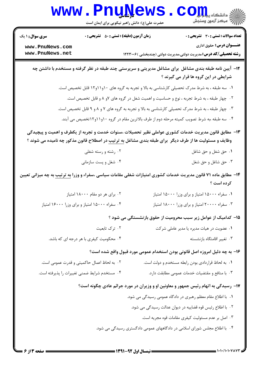|                        | <b>www.PnuNews</b><br>حضرت علی(ع): دانش راهبر نیکویی برای ایمان است | انشڪاه پي <mark>ابل</mark> وگ<br>// مرکز آزمون وسنجش                                                                                                                                                                    |
|------------------------|---------------------------------------------------------------------|-------------------------------------------------------------------------------------------------------------------------------------------------------------------------------------------------------------------------|
| <b>سری سوال : ۱ یک</b> | <b>زمان آزمون (دقیقه) : تستی : 50 ٪ تشریحی : 0</b>                  | <b>تعداد سوالات : تستی : 30 ٪ تشریحی : 0</b>                                                                                                                                                                            |
| www.PnuNews.com        |                                                                     | عنـــوان درس: حقوق اداری                                                                                                                                                                                                |
| www.PnuNews.net        |                                                                     | <b>رشته تحصیلی/کد درس:</b> مدیریت دولتی،مدیریت دولتی (چندبخشی )۲۲۳۰۰۶                                                                                                                                                   |
|                        |                                                                     | ۱۲- آیین نامه طبقه بندی مشاغل ًبرای مشاغل مدیریتی و سرپرستی چند طبقه در نظر گرفته و مستخدم با داشتن چه<br>شرایطی در این گروه ها قرار می گیرند ؟                                                                         |
|                        |                                                                     | ۰۱ سه طبقه ، به شرط مدرک تحصیلی کارشناسی به بالا و تجربه به گروه های ۱۰و۱۱و۱۲ قابل تخصیص است.                                                                                                                           |
|                        |                                                                     | ۰۲ چهار طبقه ، به شرط تجربه ، نوع و حساسیت و اهمیت شغل در گروه های ۷و ۸ و قابل تخصیص است.                                                                                                                               |
|                        |                                                                     | ۰۳ چهار طبقه ، به شرط مدرک تحصیلی کارشناسی به بالا و تجربه به گروه های ۷ و ۸ و ۹ قابل تخصیص است.                                                                                                                        |
|                        |                                                                     | ۰۴ سه طبقه ،به شرط تصویب کمیته مرحله دوم از طرف بالاترین مقام در گروه ۱۰و۱۱و۱۲تخصیص می آبند.                                                                                                                            |
|                        |                                                                     | ۱۳- مطابق قانون مدیریت خدمات کشوری عواملی نظیر تحصیلات ،سنوات خدمت و تجربه از یکطرف و اهمیت و پیچیدگی<br>وظایف و مسئولیت ها از طرف دیگر  برای طبقه بندی مشاغل <u>به ترتیب</u> در اصطلاح قانون مذکور چه نامیده می شوند ؟ |
|                        | ۰۲ رشته و رسته شغلی                                                 | ۰۱ حق شغل و حق شاغل                                                                                                                                                                                                     |
|                        | ۰۴ شغل و پست سازمانی                                                | ۰۳ حق شاغل و حق شغل                                                                                                                                                                                                     |
|                        |                                                                     | ۱۴- مطابق ماده ۷۱ قانون مدیریت خدمات کشوری امتیازات شغلی مقامات سیاسی ،سفراء و وزرا <u>به ترتیب</u> به چه میزانی تعیین<br>کرده است ؟                                                                                    |
|                        | ۰۲ برای هر دو مقام ۱۸۰۰۰ امتیاز                                     | ۰۱ سفراء ۱۵۰۰۰ امتیاز و برای وزرا ۱۵۰۰۰ امتیاز                                                                                                                                                                          |
|                        | ۰۴ سفراء ۱۵۰۰۰ امتیاز و برای وزرا ۱۶۰۰۰ امتیاز                      | ۰۳ سفراء ۲۰۰۰۰ امتیاز و برای وزرا ۱۸۰۰۰ امتیاز                                                                                                                                                                          |
|                        |                                                                     | ۱۵– کدامیک از عوامل زیر سبب محرومیت از حقوق بازنشستگی می شود ؟                                                                                                                                                          |
|                        | ۰۲ ترک تابعیت                                                       | ۰۱ عضویت در هیات مدیره یا مدیر عاملی شرکت                                                                                                                                                                               |
|                        | ۰۴ محکومیت کیفری با هر درجه ای که باشد.                             | ۰۳ تغيير اقامتگاه بازنشسته                                                                                                                                                                                              |
|                        |                                                                     | ۱۶- به چه دلیل امروزه اصل قانونی بودن استخدام عمومی مورد قبول واقع شده است؟                                                                                                                                             |
|                        | ۰۲ به لحاظ اعمال حاکمیتی و قدرت عمومی است.                          | ۰۱ به لحاظ قراردادی بودن رابطه مستخدم و دولت است.                                                                                                                                                                       |
|                        | ۰۴ مستخدم شرايط ضمني تغييرات را پذيرفته است.                        | ۰۳ با منافع و مقتضیات خدمات عمومی مطابقت دارد.                                                                                                                                                                          |
|                        |                                                                     | <b>۱۷</b> - رسیدگی به اتهام رئیس جمهور و معاونین او و وزیران در مورد جرائم عادی چگونه است؟                                                                                                                              |
|                        |                                                                     | ۰۱ با اطلاع مقام معظم رهبری در دادگاه عمومی رسیدگی می شود.                                                                                                                                                              |
|                        |                                                                     | ۰۲ با اطلاع رئیس قوه قضاییه در دیوان عدالت رسیدگی می شود.                                                                                                                                                               |
|                        |                                                                     | ۰۳ اصل بر عدم مسئولیت کیفری مقامات قوه مجریه است.                                                                                                                                                                       |
|                        |                                                                     | ۰۴ با اطلاع مجلس شورای اسلامی در دادگاههای عمومی دادگستری رسیدگی می شود.                                                                                                                                                |
|                        |                                                                     |                                                                                                                                                                                                                         |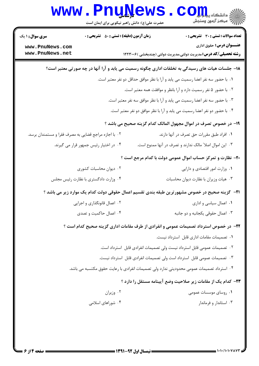|                                                                           | <b>www.PnuNews</b>                            |  | اللاء دانشڪاه پيد <mark>ر وار</mark> ال<br>    > مرڪز آزمون وسنڊش                                     |  |
|---------------------------------------------------------------------------|-----------------------------------------------|--|-------------------------------------------------------------------------------------------------------|--|
|                                                                           | حضرت علی(ع): دانش راهبر نیکویی برای ایمان است |  |                                                                                                       |  |
| <b>سری سوال : ۱ یک</b>                                                    | زمان آزمون (دقیقه) : تستی : 50 ٪ تشریحی : 0   |  | <b>تعداد سوالات : تستی : 30 ٪ تشریحی : 0</b>                                                          |  |
| www.PnuNews.com<br>www.PnuNews.net                                        |                                               |  | <b>عنـــوان درس:</b> حقوق اداری                                                                       |  |
|                                                                           |                                               |  | <b>رشته تحصیلی/کد درس:</b> مدیریت دولتی،مدیریت دولتی (چندبخشی )۱۲۲۳۰۰۶                                |  |
|                                                                           |                                               |  | ۱۸− جلسات هیات های رسیدگی به تخلفات اداری چگونه رسمیت می یابد و آرا آنها در چه صورتی معتبر است؟       |  |
|                                                                           |                                               |  | ٠١. با حضور سه نفر اعضا رسميت مي يابد و آرا با نظر موافق حداقل دو نفر معتبر است.                      |  |
| ۰۲ با حضور ۵ نفر رسمیت دارد و آرا بانظر و موافقت همه معتبر است.           |                                               |  |                                                                                                       |  |
| ۰۳ با حضور سه نفر اعضا رسمیت می یابد و آرا با نظر موافق سه نفر معتبر است. |                                               |  |                                                                                                       |  |
| ۰۴ با حضور دو نفر اعضا رسمیت می یابد و آرا با نظر موافق دو نفر معتبر است. |                                               |  |                                                                                                       |  |
|                                                                           |                                               |  | ۱۹- در خصوص تصرف در اموال مجهول المالک کدام گزینه صحیح می باشد ؟                                      |  |
| ۰۲ با اجازه مراجع قضایی به مصرف فقرا و مستمندان برسد.                     |                                               |  | ٠١ افراد طبق مقررات حق تصرف در آنها دارند.                                                            |  |
|                                                                           | ۰۴ در اختیار رئیس جمهور قرار می گیرند.        |  | ۰۳ این اموال اصلا" مالک ندارند و تصرف در آنها ممنوع است.                                              |  |
|                                                                           |                                               |  | ۲۰- نظارت و تمرکز حساب اموال عمومی دولت با کدام مرجع است ؟                                            |  |
|                                                                           | ۰۲ دیوان محاسبات کشوری                        |  | ۰۱ وزارت امور اقتصادی و دارایی                                                                        |  |
|                                                                           | ۰۴ وزارت دادگستری با نظارت رئیس مجلس          |  | ۰۳ هیات وزیران با نظارت دیوان محاسبات                                                                 |  |
|                                                                           |                                               |  | <b>ا۲</b> – گزینه صحیح در خصوص مشهورترین طبقه بندی تقسیم اعمال حقوقی دولت کدام یک موارد زیر می باشد ؟ |  |
|                                                                           | ۰۲ اعمال قانونگذاری و اجرایی                  |  | ۰۱ اعمال سیاسی و اداری                                                                                |  |
|                                                                           | ۰۴ اعمال حاکمیت و تصدی                        |  | ۰۳ اعمال حقوقي يكجانبه و دو جانبه                                                                     |  |
|                                                                           |                                               |  | ۲۲- در خصوص استرداد تصمیمات عمومی و انفرادی از طرف مقامات اداری گزینه صحیح کدام است ؟                 |  |
|                                                                           |                                               |  | ٠١ تصميمات مقامات ادارى قابل استرداد نيست.                                                            |  |
|                                                                           |                                               |  | ۰۲ تصمیمات عمومی قابل استرداد نیست ولی تصمیمات انفرادی قابل  استرداد است.                             |  |
|                                                                           |                                               |  | ۰۳ تصمیمات عمومی قابل  استرداد است ولی تصمیمات انفرادی قابل  استرداد نیست.                            |  |
|                                                                           |                                               |  | ۰۴ استرداد تصمیمات عمومی محدودیتی ندارد ولی تصمیمات انفرادی با رعایت حقوق مکتسبه می باشد.             |  |
|                                                                           |                                               |  | ۲۳– کدام یک از مقامات زیر صلاحیت وضع آیینامه مستقل را دارد ؟                                          |  |
|                                                                           | ۰۲ وزیران                                     |  | ۰۱ روسای موسسات عمومی                                                                                 |  |
|                                                                           | ۰۴ شوراهای اسلامی                             |  | ۰۳ استاندار و فرماندار                                                                                |  |
|                                                                           |                                               |  |                                                                                                       |  |
|                                                                           |                                               |  |                                                                                                       |  |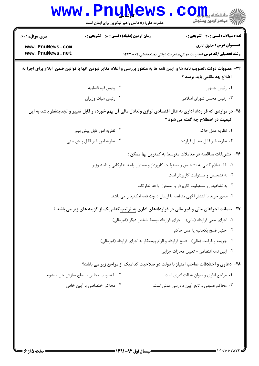|                        | <b>www.PnuNews</b>                                                                                  | اللا دانشگاه پیام <mark>ر</mark><br>الله مرکز آزمون وسنجش                                                                                            |
|------------------------|-----------------------------------------------------------------------------------------------------|------------------------------------------------------------------------------------------------------------------------------------------------------|
| <b>سری سوال : ۱ یک</b> | حضرت علی(ع): دانش راهبر نیکویی برای ایمان است<br><b>زمان آزمون (دقیقه) : تستی : 50 ٪ تشریحی : 0</b> | تعداد سوالات : تستي : 30 ٪ تشريحي : 0                                                                                                                |
| www.PnuNews.com        |                                                                                                     | <b>عنـــوان درس:</b> حقوق اداری                                                                                                                      |
| www.PnuNews.net        |                                                                                                     | <b>رشته تحصیلی/کد درس:</b> مدیریت دولتی،مدیریت دولتی (چندبخشی )۲۲۳۰۰۶                                                                                |
|                        |                                                                                                     | ۲۴- مصوبات دولت ،تصویب نامه ها و آیین نامه ها به منظور بررسی و اعلام مغایر نبودن آنها با قوانین ضمن ابلاغ برای اجرا به                               |
|                        |                                                                                                     | اطلاع چه مقامی باید برسد ؟                                                                                                                           |
|                        | ۰۲ رئيس قوه قضاييه                                                                                  | ۰۱ رئیس جمهور                                                                                                                                        |
|                        | ۰۴ رئيس هيات وزيران                                                                                 | ۰۳ رئیس مجلس شورای اسلامی                                                                                                                            |
|                        |                                                                                                     | ۲۵– در مواردی که قرارداد اداری به علل اقتصادی توازن وتعادل مالی آن بهم خورده و قابل تغییر و تجدیدنظر باشد به این<br>کیفیت در اصطلاح چه گفته می شود ؟ |
|                        | ۰۲ نظریه امور قابل پیش بینی                                                                         | ٠١ نظريه عمل حاكم                                                                                                                                    |
|                        | ۰۴ نظریه امور غیر قابل پیش بینی                                                                     | ٠٣ نظريه غير قابل تعديل قرارداد                                                                                                                      |
|                        |                                                                                                     | ۲۶– تشریفات مناقصه در معاملات متوسط به کمترین بها ممکن :                                                                                             |
|                        |                                                                                                     | ۰۱ با استعلام کتبی به تشخیص و مسئولیت کارپرداز و مسئول واحد تدارکاتی و تایید وزیر                                                                    |
|                        |                                                                                                     | ۰۲ به تشخیص و مسئولیت کارپرداز است.                                                                                                                  |
|                        |                                                                                                     | ۰۳ به تشخیص و مسئولیت کارپرداز و  مسئول واحد تدارکات                                                                                                 |
|                        |                                                                                                     | ۰۴ مامور خرید با انتشار آگهی مناقصه یا ارسال دعوت نامه امکانپذیر می باشد.                                                                            |
|                        |                                                                                                     | <b>۲۷- ضمانت اجراهای مالی و غیر مالی در قراردادهای اداری به ترتیب کدام یک از گزینه های زیر می باشد</b> ؟                                             |
|                        |                                                                                                     | ١. اجرای امانی قرارداد (مالی) - اجرای قرارداد توسط شخص دیگر (غیرمالی)                                                                                |
|                        |                                                                                                     | ٠٢ اختيار فسخ يكجانبه يا عمل حاكم                                                                                                                    |
|                        |                                                                                                     | ۰۳ جریمه و غرامت (مالی) - فسخ قرارداد و الزام پیمانکار به اجرای قرارداد (غیرمالی)                                                                    |
|                        |                                                                                                     | ۰۴ آیین نامه انتظامی - تعیین مجازات جزایی                                                                                                            |
|                        |                                                                                                     | ۲۸- دعاوی و اختلافات صاحب امتیاز با دولت در صلاحیت کدامیک از مراجع زیر می باشد؟                                                                      |
|                        | ۰۲ با تصویب مجلس با صلح سازش حل میشوند.                                                             | ٠١ مراجع اداري و ديوان عدالت اداري است.                                                                                                              |
|                        | ۰۴ محاکم اختصاصی با آیین خاص                                                                        | ۰۳ محاکم عمومی و تابع آیین دادرسی مدنی است.                                                                                                          |
|                        |                                                                                                     |                                                                                                                                                      |